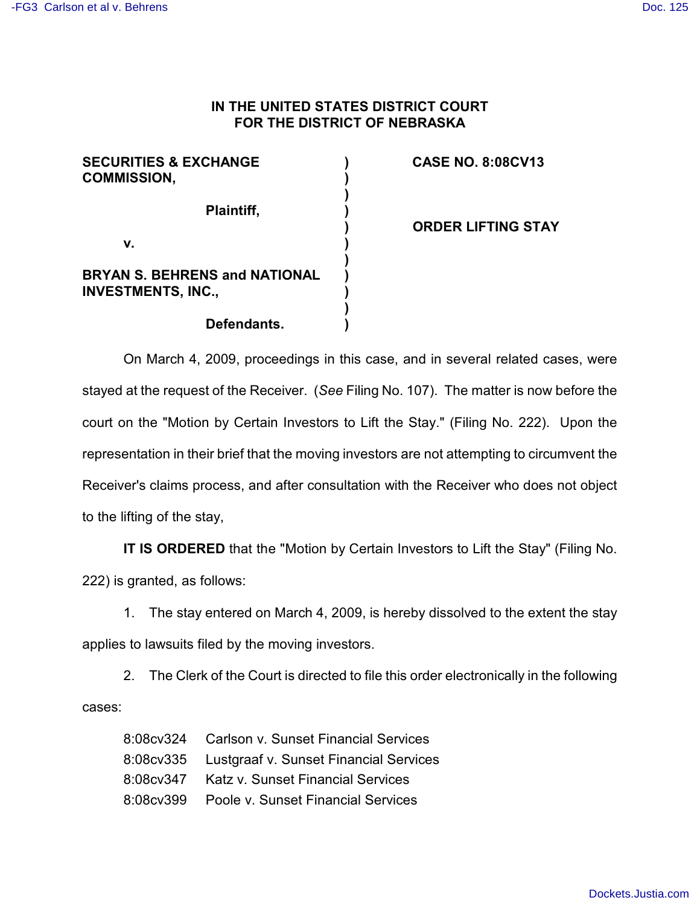## **IN THE UNITED STATES DISTRICT COURT FOR THE DISTRICT OF NEBRASKA**

| <b>SECURITIES &amp; EXCHANGE</b><br><b>COMMISSION,</b>            |  |
|-------------------------------------------------------------------|--|
| Plaintiff,                                                        |  |
| v.                                                                |  |
| <b>BRYAN S. BEHRENS and NATIONAL</b><br><b>INVESTMENTS, INC.,</b> |  |
| Defendants.                                                       |  |

## **CASE NO. 8:08CV13**

**ORDER LIFTING STAY**

On March 4, 2009, proceedings in this case, and in several related cases, were stayed at the request of the Receiver. (*See* Filing No. 107). The matter is now before the court on the "Motion by Certain Investors to Lift the Stay." (Filing No. 222). Upon the representation in their brief that the moving investors are not attempting to circumvent the Receiver's claims process, and after consultation with the Receiver who does not object to the lifting of the stay,

**IT IS ORDERED** that the "Motion by Certain Investors to Lift the Stay" (Filing No.

222) is granted, as follows:

1. The stay entered on March 4, 2009, is hereby dissolved to the extent the stay applies to lawsuits filed by the moving investors.

2. The Clerk of the Court is directed to file this order electronically in the following cases:

| 8:08cv324 Carlson v. Sunset Financial Services     |
|----------------------------------------------------|
| 8:08 cv 335 Lustgraaf v. Sunset Financial Services |
| 8:08 cv 347 Katz v. Sunset Financial Services      |
| 8:08cv399  Poole v. Sunset Financial Services      |